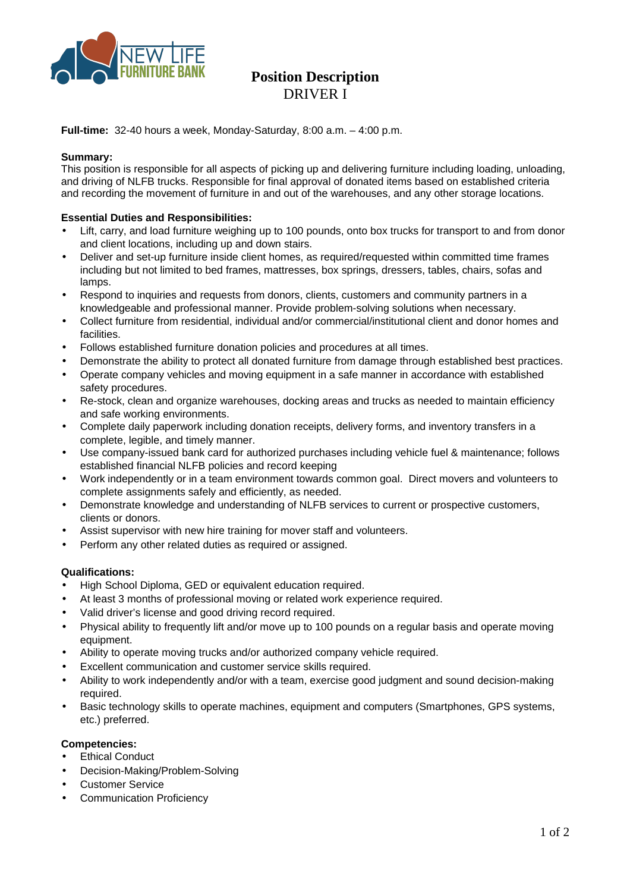

# **Position Description DRIVER I**

**Full-time:** 32-40 hours a week, Monday-Saturday, 8:00 a.m.  $-$  4:00 p.m.

## Summarv:

This position is responsible for all aspects of picking up and delivering furniture including loading, unloading, and driving of NLFB trucks. Responsible for final approval of donated items based on established criteria and recording the movement of furniture in and out of the warehouses, and any other storage locations.

## **Essential Duties and Responsibilities:**

- Lift, carry, and load furniture weighing up to 100 pounds, onto box trucks for transport to and from donor  $\bullet$ and client locations, including up and down stairs.
- Deliver and set-up furniture inside client homes, as required/requested within committed time frames  $\bullet$ including but not limited to bed frames, mattresses, box springs, dressers, tables, chairs, sofas and lamps.
- Respond to inquiries and requests from donors, clients, customers and community partners in a  $\bullet$ knowledgeable and professional manner. Provide problem-solving solutions when necessary.
- Collect furniture from residential, individual and/or commercial/institutional client and donor homes and  $\bullet$ facilities
- Follows established furniture donation policies and procedures at all times.
- Demonstrate the ability to protect all donated furniture from damage through established best practices.
- Operate company vehicles and moving equipment in a safe manner in accordance with established  $\bullet$ safety procedures.
- $\bullet$ Re-stock, clean and organize warehouses, docking areas and trucks as needed to maintain efficiency and safe working environments.
- Complete daily paperwork including donation receipts, delivery forms, and inventory transfers in a  $\bullet$ complete, legible, and timely manner.
- Use company-issued bank card for authorized purchases including vehicle fuel & maintenance; follows  $\bullet$ established financial NLFB policies and record keeping
- Work independently or in a team environment towards common goal. Direct movers and volunteers to  $\bullet$ complete assignments safely and efficiently, as needed.
- Demonstrate knowledge and understanding of NLFB services to current or prospective customers.  $\bullet$ clients or donors.
- Assist supervisor with new hire training for mover staff and volunteers.  $\bullet$
- Perform any other related duties as required or assigned.

# **Qualifications:**

- High School Diploma, GED or equivalent education required.
- At least 3 months of professional moving or related work experience required.  $\bullet$
- Valid driver's license and good driving record required.  $\bullet$
- Physical ability to frequently lift and/or move up to 100 pounds on a regular basis and operate moving equipment.
- Ability to operate moving trucks and/or authorized company vehicle required.  $\bullet$
- Excellent communication and customer service skills required.
- Ability to work independently and/or with a team, exercise good judgment and sound decision-making required.
- Basic technology skills to operate machines, equipment and computers (Smartphones, GPS systems,  $\bullet$ etc.) preferred.

## **Competencies:**

- **Ethical Conduct**  $\bullet$
- Decision-Making/Problem-Solving
- **Customer Service**
- **Communication Proficiency**